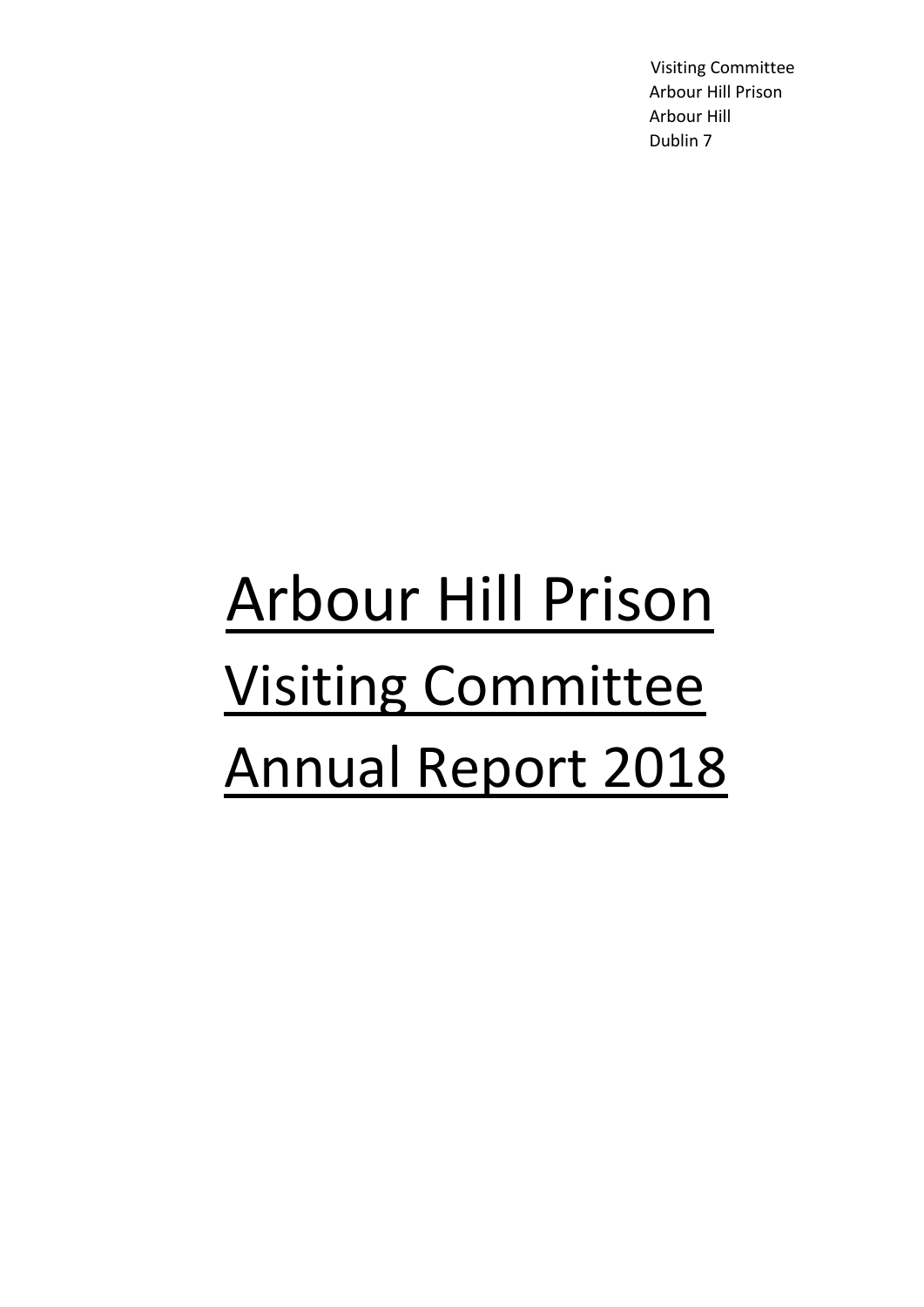Visiting Committee Arbour Hill Prison Arbour Hill Dublin 7

# Arbour Hill Prison Visiting Committee Annual Report 2018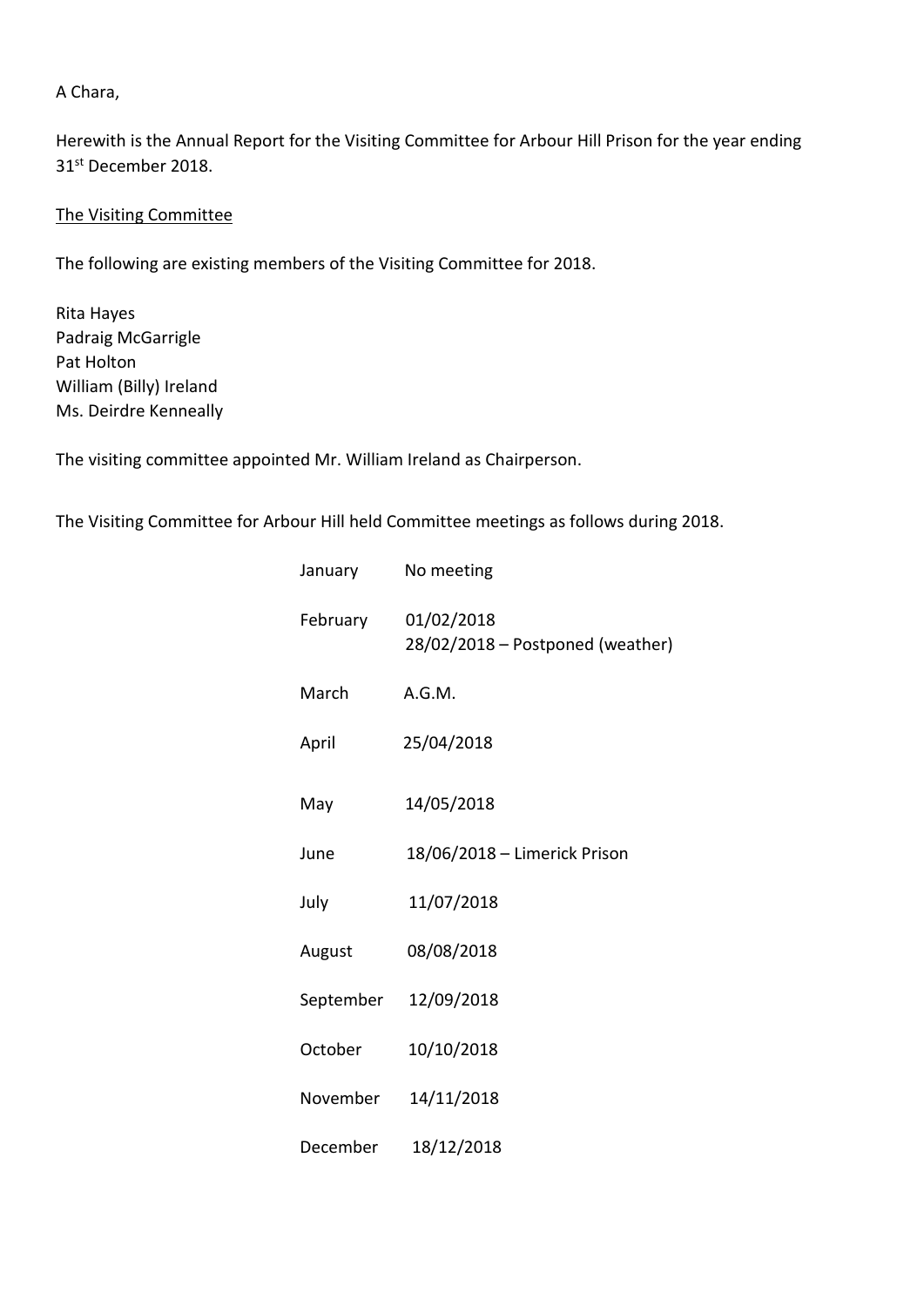#### A Chara,

Herewith is the Annual Report for the Visiting Committee for Arbour Hill Prison for the year ending 31st December 2018.

#### The Visiting Committee

The following are existing members of the Visiting Committee for 2018.

Rita Hayes Padraig McGarrigle Pat Holton William (Billy) Ireland Ms. Deirdre Kenneally

The visiting committee appointed Mr. William Ireland as Chairperson.

The Visiting Committee for Arbour Hill held Committee meetings as follows during 2018.

| January   | No meeting                                     |
|-----------|------------------------------------------------|
| February  | 01/02/2018<br>28/02/2018 - Postponed (weather) |
| March     | A.G.M.                                         |
| April     | 25/04/2018                                     |
| May       | 14/05/2018                                     |
| June      | 18/06/2018 - Limerick Prison                   |
| July      | 11/07/2018                                     |
| August    | 08/08/2018                                     |
| September | 12/09/2018                                     |
| October   | 10/10/2018                                     |
| November  | 14/11/2018                                     |
| December  | 18/12/2018                                     |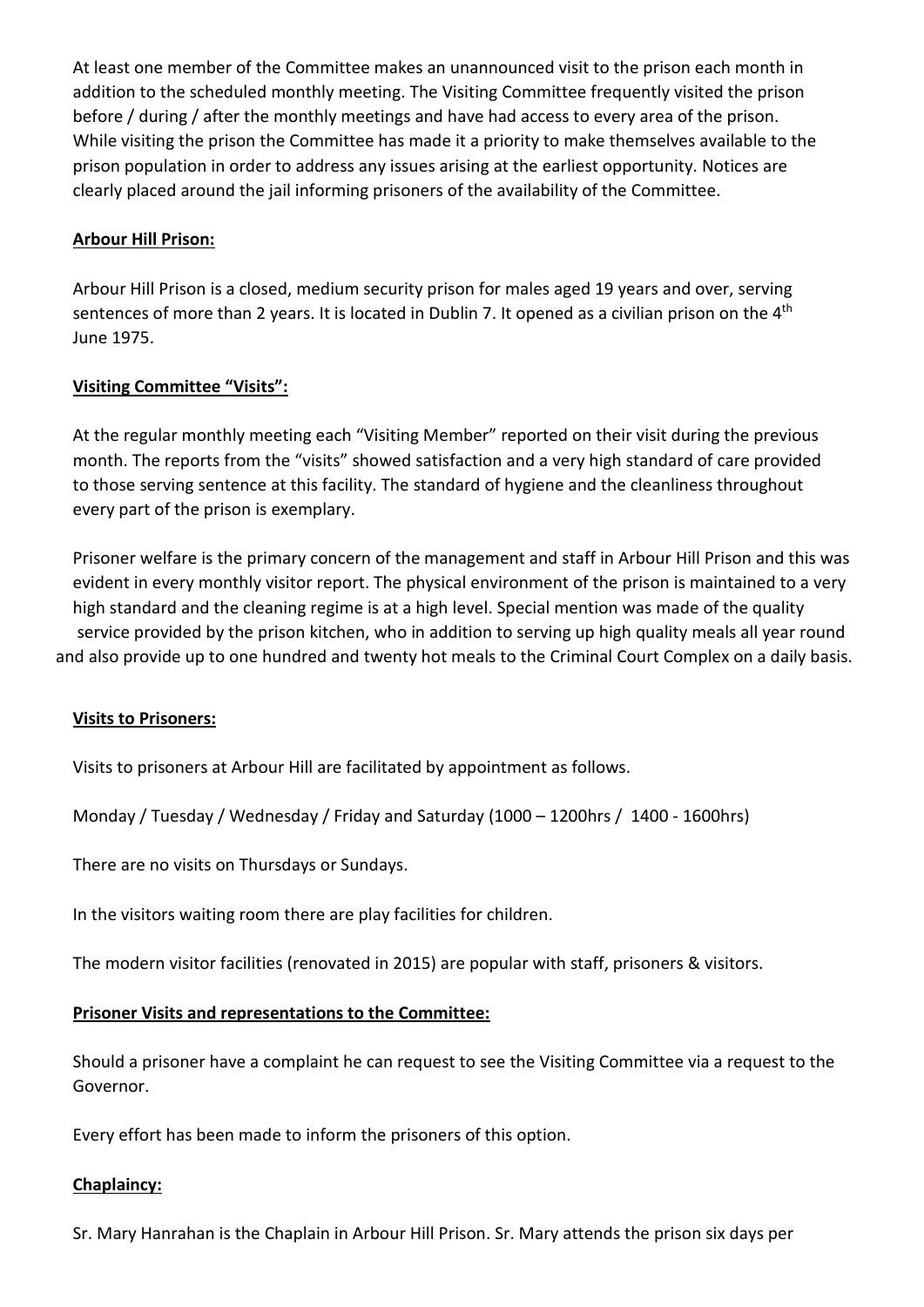At least one member of the Committee makes an unannounced visit to the prison each month in addition to the scheduled monthly meeting. The Visiting Committee frequently visited the prison before / during / after the monthly meetings and have had access to every area of the prison. While visiting the prison the Committee has made it a priority to make themselves available to the prison population in order to address any issues arising at the earliest opportunity. Notices are clearly placed around the jail informing prisoners of the availability of the Committee.

#### **Arbour Hill Prison:**

 Arbour Hill Prison is a closed, medium security prison for males aged 19 years and over, serving sentences of more than 2 years. It is located in Dublin 7. It opened as a civilian prison on the 4<sup>th</sup> June 1975.

#### **Visiting Committee "Visits":**

 At the regular monthly meeting each "Visiting Member" reported on their visit during the previous month. The reports from the "visits" showed satisfaction and a very high standard of care provided to those serving sentence at this facility. The standard of hygiene and the cleanliness throughout every part of the prison is exemplary.

 Prisoner welfare is the primary concern of the management and staff in Arbour Hill Prison and this was evident in every monthly visitor report. The physical environment of the prison is maintained to a very high standard and the cleaning regime is at a high level. Special mention was made of the quality service provided by the prison kitchen, who in addition to serving up high quality meals all year round and also provide up to one hundred and twenty hot meals to the Criminal Court Complex on a daily basis.

#### **Visits to Prisoners:**

Visits to prisoners at Arbour Hill are facilitated by appointment as follows.

Monday / Tuesday / Wednesday / Friday and Saturday (1000 – 1200hrs / 1400 - 1600hrs)

There are no visits on Thursdays or Sundays.

In the visitors waiting room there are play facilities for children.

The modern visitor facilities (renovated in 2015) are popular with staff, prisoners & visitors.

#### **Prisoner Visits and representations to the Committee:**

 Should a prisoner have a complaint he can request to see the Visiting Committee via a request to the Governor.

Every effort has been made to inform the prisoners of this option.

#### **Chaplaincy:**

Sr. Mary Hanrahan is the Chaplain in Arbour Hill Prison. Sr. Mary attends the prison six days per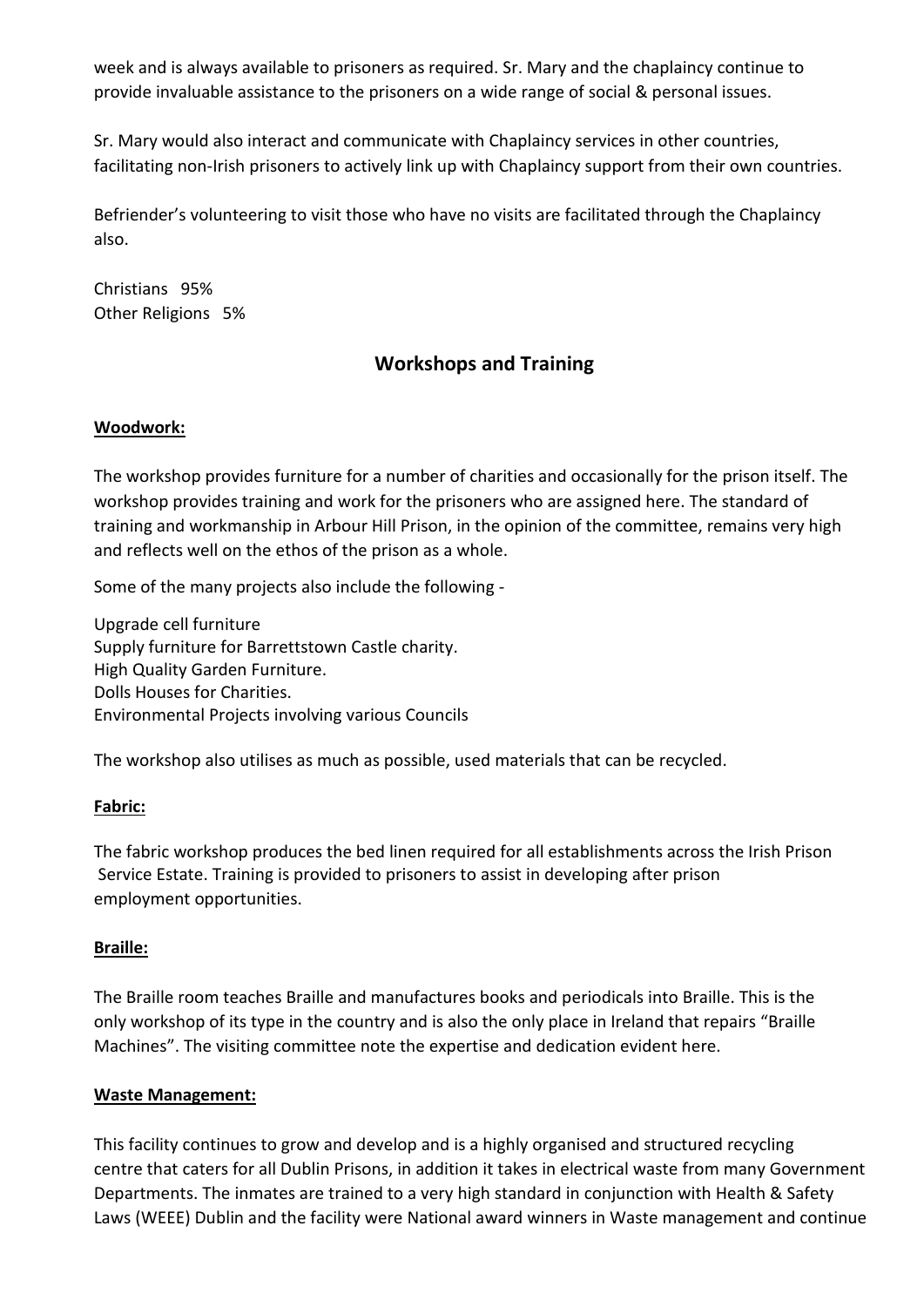week and is always available to prisoners as required. Sr. Mary and the chaplaincy continue to provide invaluable assistance to the prisoners on a wide range of social & personal issues.

 Sr. Mary would also interact and communicate with Chaplaincy services in other countries, facilitating non-Irish prisoners to actively link up with Chaplaincy support from their own countries.

 Befriender's volunteering to visit those who have no visits are facilitated through the Chaplaincy also.

 Christians 95% Other Religions 5%

# **Workshops and Training**

# **Woodwork:**

 The workshop provides furniture for a number of charities and occasionally for the prison itself. The workshop provides training and work for the prisoners who are assigned here. The standard of training and workmanship in Arbour Hill Prison, in the opinion of the committee, remains very high and reflects well on the ethos of the prison as a whole.

Some of the many projects also include the following -

 Upgrade cell furniture Supply furniture for Barrettstown Castle charity. High Quality Garden Furniture. Dolls Houses for Charities. Environmental Projects involving various Councils

The workshop also utilises as much as possible, used materials that can be recycled.

# **Fabric:**

 The fabric workshop produces the bed linen required for all establishments across the Irish Prison Service Estate. Training is provided to prisoners to assist in developing after prison employment opportunities.

# **Braille:**

The Braille room teaches Braille and manufactures books and periodicals into Braille. This is the only workshop of its type in the country and is also the only place in Ireland that repairs "Braille Machines". The visiting committee note the expertise and dedication evident here.

# **Waste Management:**

 This facility continues to grow and develop and is a highly organised and structured recycling centre that caters for all Dublin Prisons, in addition it takes in electrical waste from many Government Departments. The inmates are trained to a very high standard in conjunction with Health & Safety Laws (WEEE) Dublin and the facility were National award winners in Waste management and continue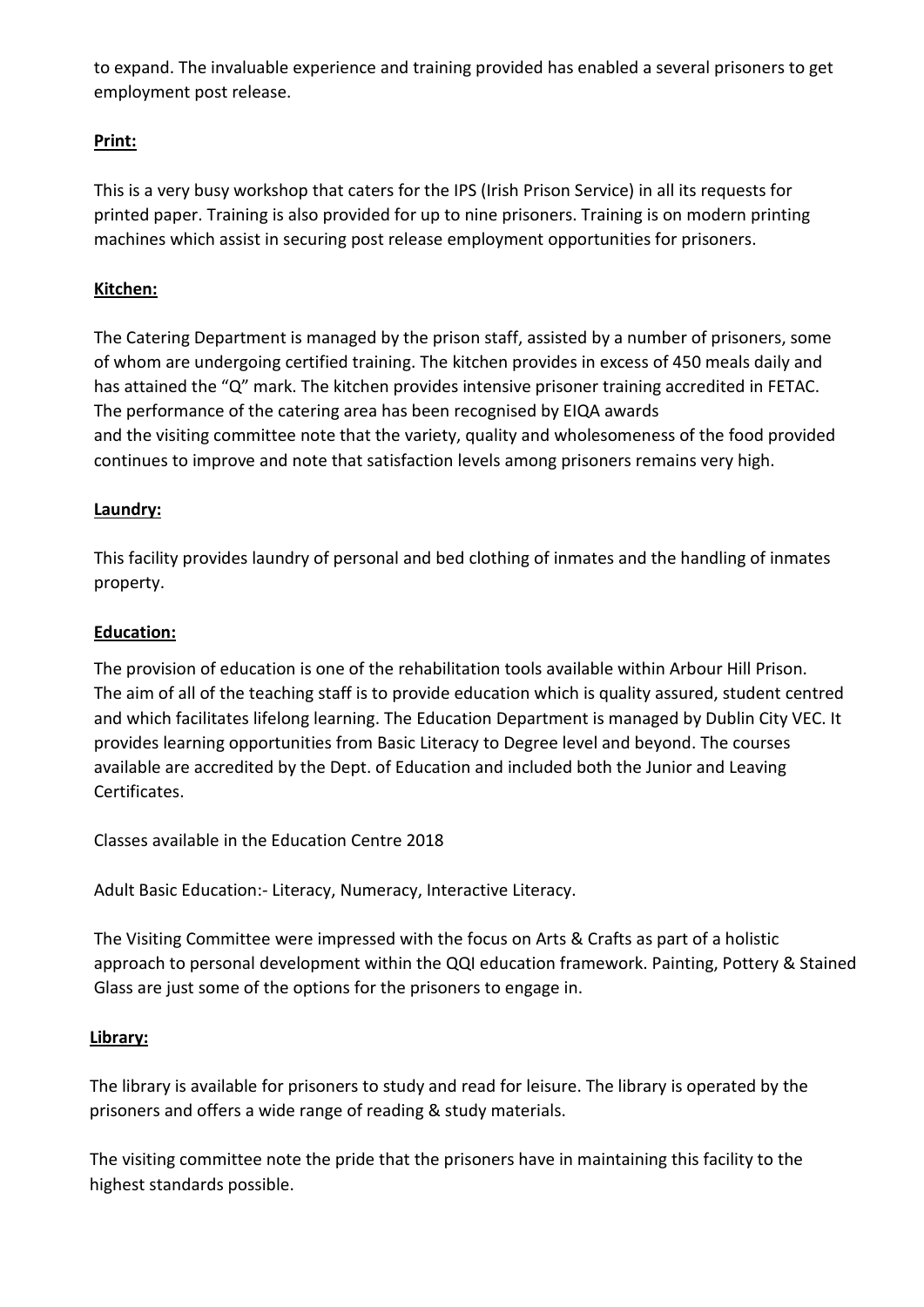to expand. The invaluable experience and training provided has enabled a several prisoners to get employment post release.

# **Print:**

 This is a very busy workshop that caters for the IPS (Irish Prison Service) in all its requests for printed paper. Training is also provided for up to nine prisoners. Training is on modern printing machines which assist in securing post release employment opportunities for prisoners.

# **Kitchen:**

 The Catering Department is managed by the prison staff, assisted by a number of prisoners, some of whom are undergoing certified training. The kitchen provides in excess of 450 meals daily and has attained the "Q" mark. The kitchen provides intensive prisoner training accredited in FETAC. The performance of the catering area has been recognised by EIQA awards and the visiting committee note that the variety, quality and wholesomeness of the food provided continues to improve and note that satisfaction levels among prisoners remains very high.

# **Laundry:**

 This facility provides laundry of personal and bed clothing of inmates and the handling of inmates property.

# **Education:**

 The provision of education is one of the rehabilitation tools available within Arbour Hill Prison. The aim of all of the teaching staff is to provide education which is quality assured, student centred and which facilitates lifelong learning. The Education Department is managed by Dublin City VEC. It provides learning opportunities from Basic Literacy to Degree level and beyond. The courses available are accredited by the Dept. of Education and included both the Junior and Leaving Certificates.

Classes available in the Education Centre 2018

Adult Basic Education:- Literacy, Numeracy, Interactive Literacy.

 The Visiting Committee were impressed with the focus on Arts & Crafts as part of a holistic approach to personal development within the QQI education framework. Painting, Pottery & Stained Glass are just some of the options for the prisoners to engage in.

#### **Library:**

 The library is available for prisoners to study and read for leisure. The library is operated by the prisoners and offers a wide range of reading & study materials.

 The visiting committee note the pride that the prisoners have in maintaining this facility to the highest standards possible.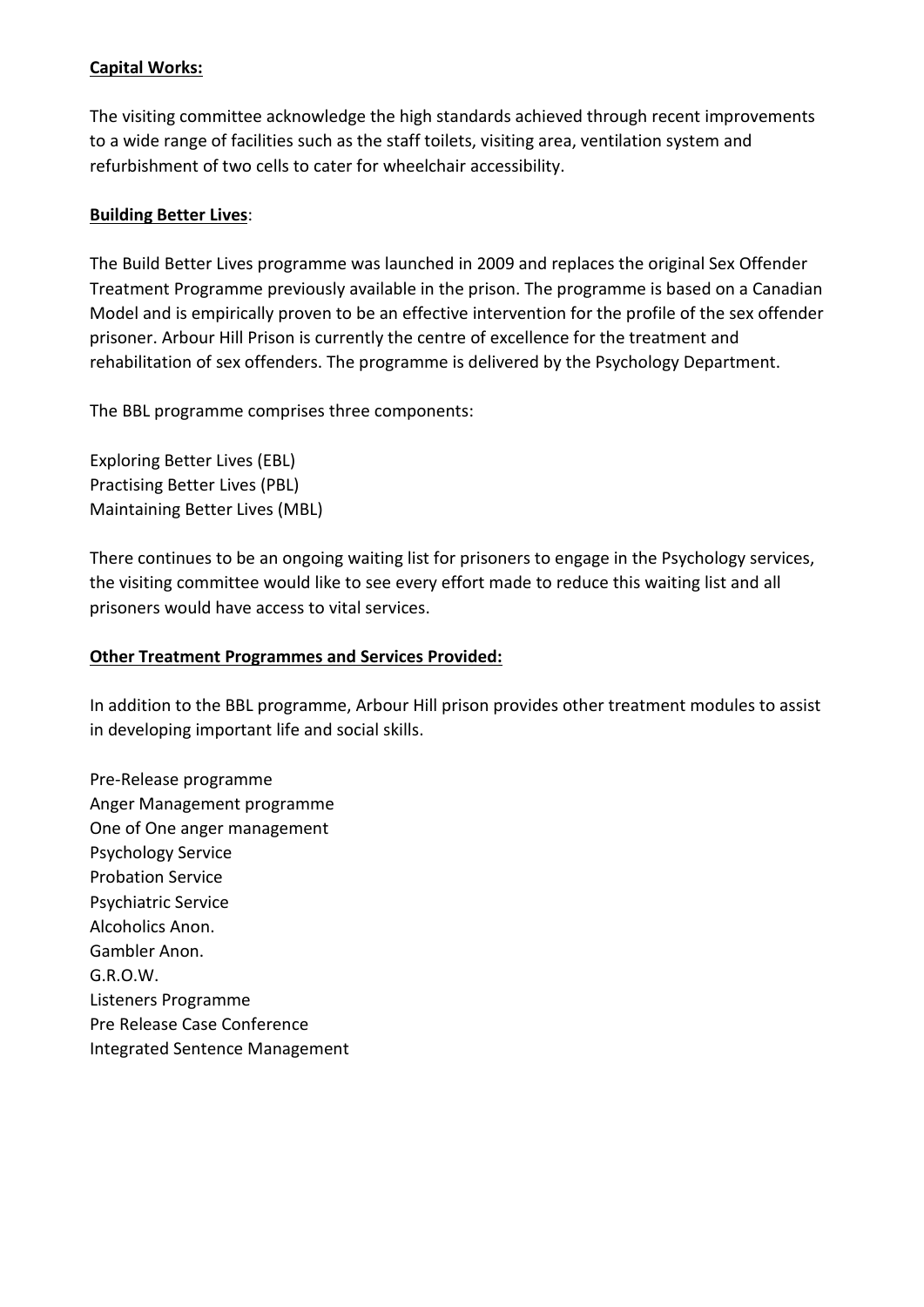# **Capital Works:**

 The visiting committee acknowledge the high standards achieved through recent improvements to a wide range of facilities such as the staff toilets, visiting area, ventilation system and refurbishment of two cells to cater for wheelchair accessibility.

#### **Building Better Lives**:

 The Build Better Lives programme was launched in 2009 and replaces the original Sex Offender Treatment Programme previously available in the prison. The programme is based on a Canadian Model and is empirically proven to be an effective intervention for the profile of the sex offender prisoner. Arbour Hill Prison is currently the centre of excellence for the treatment and rehabilitation of sex offenders. The programme is delivered by the Psychology Department.

The BBL programme comprises three components:

 Exploring Better Lives (EBL) Practising Better Lives (PBL) Maintaining Better Lives (MBL)

 There continues to be an ongoing waiting list for prisoners to engage in the Psychology services, the visiting committee would like to see every effort made to reduce this waiting list and all prisoners would have access to vital services.

#### **Other Treatment Programmes and Services Provided:**

In addition to the BBL programme, Arbour Hill prison provides other treatment modules to assist in developing important life and social skills.

 Pre-Release programme Anger Management programme One of One anger management Psychology Service Probation Service Psychiatric Service Alcoholics Anon. Gambler Anon. G.R.O.W. Listeners Programme Pre Release Case Conference Integrated Sentence Management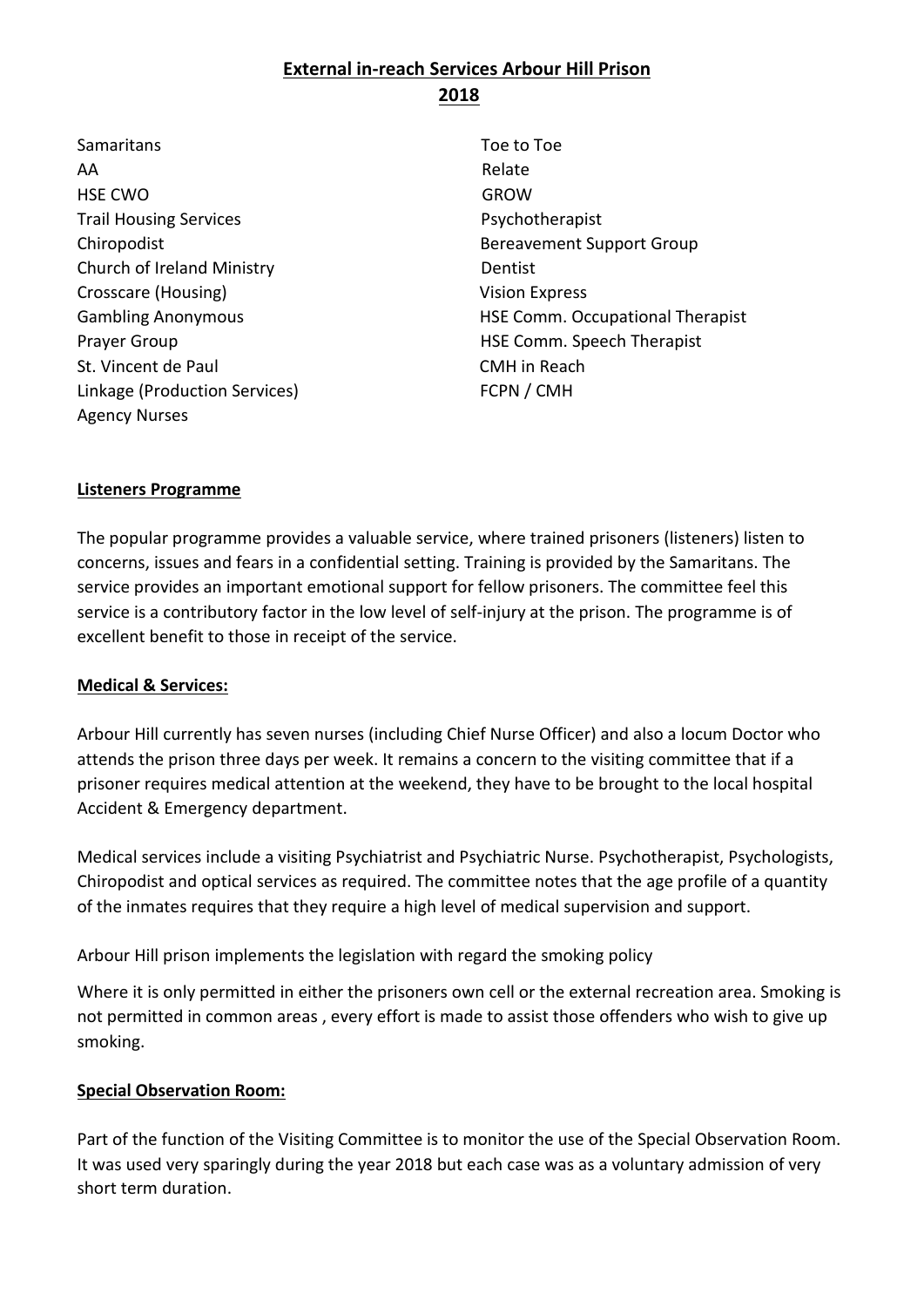# **External in-reach Services Arbour Hill Prison 2018**

Samaritans **Toe to Toe to Toe to Toe** AA Relate HSE CWO GROW Trail Housing Services **Properties** Psychotherapist Church of Ireland Ministry **Dentist** Crosscare (Housing) **Vision Express** St. Vincent de Paul **CMH** in Reach Linkage (Production Services) FCPN / CMH Agency Nurses

 Chiropodist Bereavement Support Group Gambling Anonymous HSE Comm. Occupational Therapist Prayer Group **HSE Comm.** Speech Therapist

#### **Listeners Programme**

 The popular programme provides a valuable service, where trained prisoners (listeners) listen to concerns, issues and fears in a confidential setting. Training is provided by the Samaritans. The service provides an important emotional support for fellow prisoners. The committee feel this service is a contributory factor in the low level of self-injury at the prison. The programme is of excellent benefit to those in receipt of the service.

#### **Medical & Services:**

 Arbour Hill currently has seven nurses (including Chief Nurse Officer) and also a locum Doctor who attends the prison three days per week. It remains a concern to the visiting committee that if a prisoner requires medical attention at the weekend, they have to be brought to the local hospital Accident & Emergency department.

 Medical services include a visiting Psychiatrist and Psychiatric Nurse. Psychotherapist, Psychologists, Chiropodist and optical services as required. The committee notes that the age profile of a quantity of the inmates requires that they require a high level of medical supervision and support.

Arbour Hill prison implements the legislation with regard the smoking policy

 Where it is only permitted in either the prisoners own cell or the external recreation area. Smoking is not permitted in common areas , every effort is made to assist those offenders who wish to give up smoking.

#### **Special Observation Room:**

 Part of the function of the Visiting Committee is to monitor the use of the Special Observation Room. It was used very sparingly during the year 2018 but each case was as a voluntary admission of very short term duration.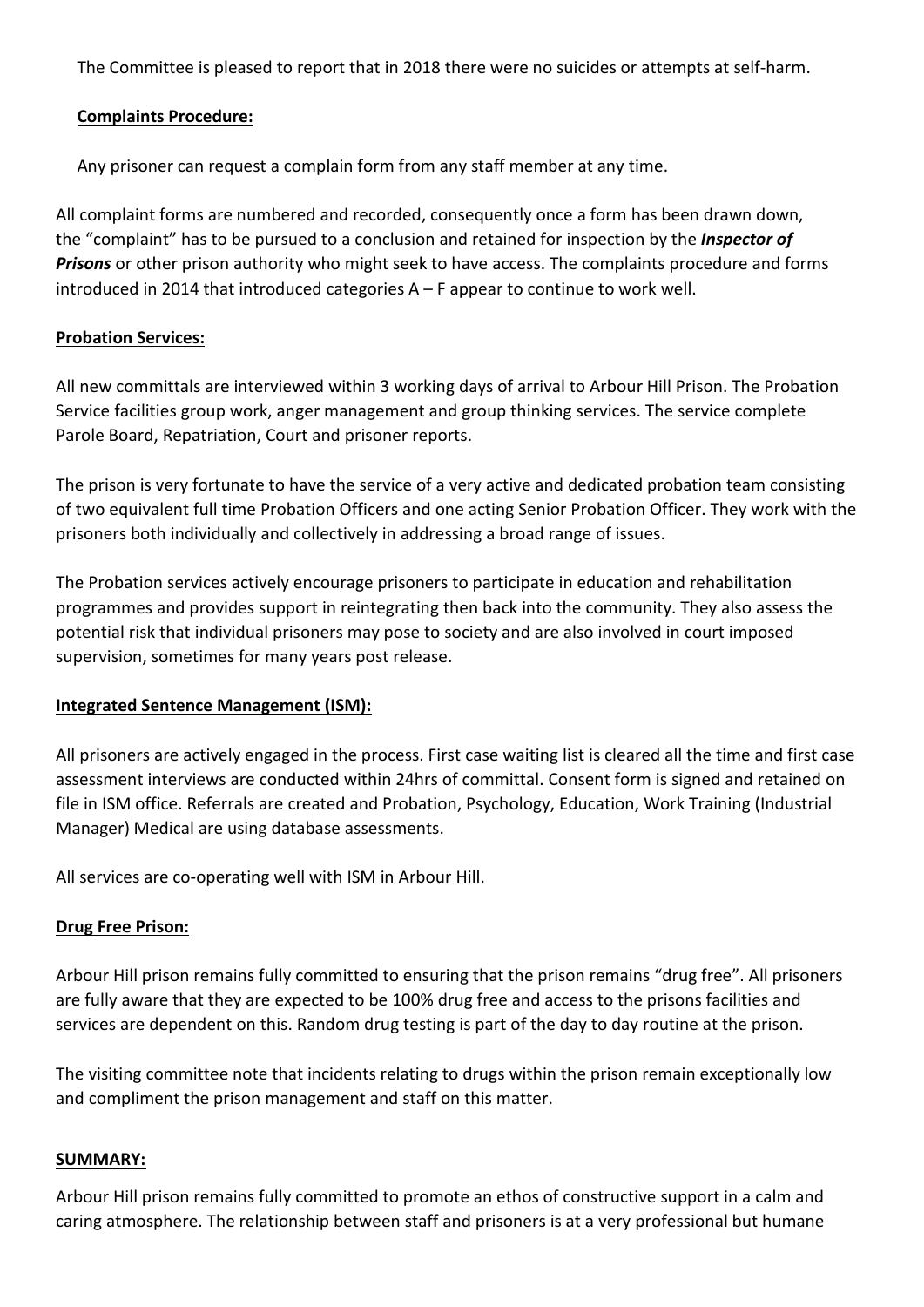The Committee is pleased to report that in 2018 there were no suicides or attempts at self-harm.

## **Complaints Procedure:**

Any prisoner can request a complain form from any staff member at any time.

All complaint forms are numbered and recorded, consequently once a form has been drawn down, the "complaint" has to be pursued to a conclusion and retained for inspection by the *Inspector of Prisons* or other prison authority who might seek to have access. The complaints procedure and forms introduced in 2014 that introduced categories A – F appear to continue to work well.

# **Probation Services:**

All new committals are interviewed within 3 working days of arrival to Arbour Hill Prison. The Probation Service facilities group work, anger management and group thinking services. The service complete Parole Board, Repatriation, Court and prisoner reports.

The prison is very fortunate to have the service of a very active and dedicated probation team consisting of two equivalent full time Probation Officers and one acting Senior Probation Officer. They work with the prisoners both individually and collectively in addressing a broad range of issues.

The Probation services actively encourage prisoners to participate in education and rehabilitation programmes and provides support in reintegrating then back into the community. They also assess the potential risk that individual prisoners may pose to society and are also involved in court imposed supervision, sometimes for many years post release.

# **Integrated Sentence Management (ISM):**

All prisoners are actively engaged in the process. First case waiting list is cleared all the time and first case assessment interviews are conducted within 24hrs of committal. Consent form is signed and retained on file in ISM office. Referrals are created and Probation, Psychology, Education, Work Training (Industrial Manager) Medical are using database assessments.

All services are co-operating well with ISM in Arbour Hill.

# **Drug Free Prison:**

Arbour Hill prison remains fully committed to ensuring that the prison remains "drug free". All prisoners are fully aware that they are expected to be 100% drug free and access to the prisons facilities and services are dependent on this. Random drug testing is part of the day to day routine at the prison.

The visiting committee note that incidents relating to drugs within the prison remain exceptionally low and compliment the prison management and staff on this matter.

#### **SUMMARY:**

Arbour Hill prison remains fully committed to promote an ethos of constructive support in a calm and caring atmosphere. The relationship between staff and prisoners is at a very professional but humane